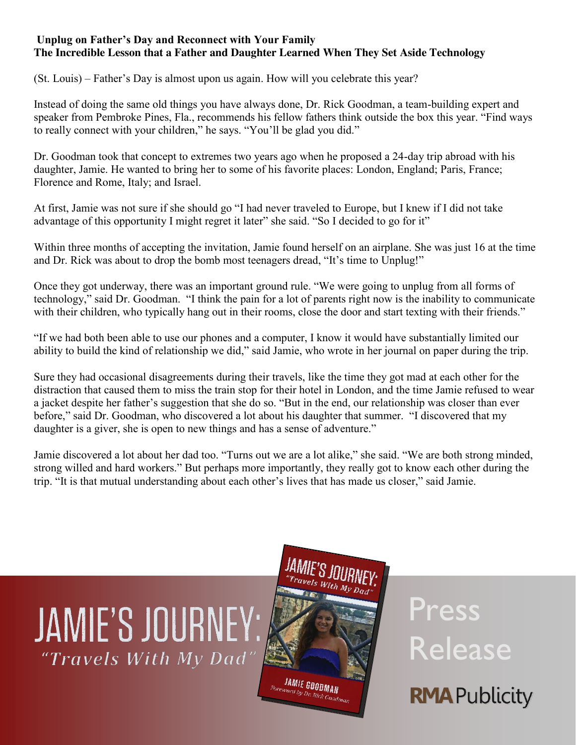## **Unplug on Father's Day and Reconnect with Your Family The Incredible Lesson that a Father and Daughter Learned When They Set Aside Technology**

(St. Louis) – Father's Day is almost upon us again. How will you celebrate this year?

Instead of doing the same old things you have always done, Dr. Rick Goodman, a team-building expert and speaker from Pembroke Pines, Fla., recommends his fellow fathers think outside the box this year. "Find ways to really connect with your children," he says. "You'll be glad you did."

Dr. Goodman took that concept to extremes two years ago when he proposed a 24-day trip abroad with his daughter, Jamie. He wanted to bring her to some of his favorite places: London, England; Paris, France; Florence and Rome, Italy; and Israel.

At first, Jamie was not sure if she should go "I had never traveled to Europe, but I knew if I did not take advantage of this opportunity I might regret it later" she said. "So I decided to go for it"

Within three months of accepting the invitation, Jamie found herself on an airplane. She was just 16 at the time and Dr. Rick was about to drop the bomb most teenagers dread, "It's time to Unplug!"

Once they got underway, there was an important ground rule. "We were going to unplug from all forms of technology," said Dr. Goodman. "I think the pain for a lot of parents right now is the inability to communicate with their children, who typically hang out in their rooms, close the door and start texting with their friends."

"If we had both been able to use our phones and a computer, I know it would have substantially limited our ability to build the kind of relationship we did," said Jamie, who wrote in her journal on paper during the trip.

Sure they had occasional disagreements during their travels, like the time they got mad at each other for the distraction that caused them to miss the train stop for their hotel in London, and the time Jamie refused to wear a jacket despite her father's suggestion that she do so. "But in the end, our relationship was closer than ever before," said Dr. Goodman, who discovered a lot about his daughter that summer. "I discovered that my daughter is a giver, she is open to new things and has a sense of adventure."

Jamie discovered a lot about her dad too. "Turns out we are a lot alike," she said. "We are both strong minded, strong willed and hard workers." But perhaps more importantly, they really got to know each other during the trip. "It is that mutual understanding about each other's lives that has made us closer," said Jamie.



Press Release